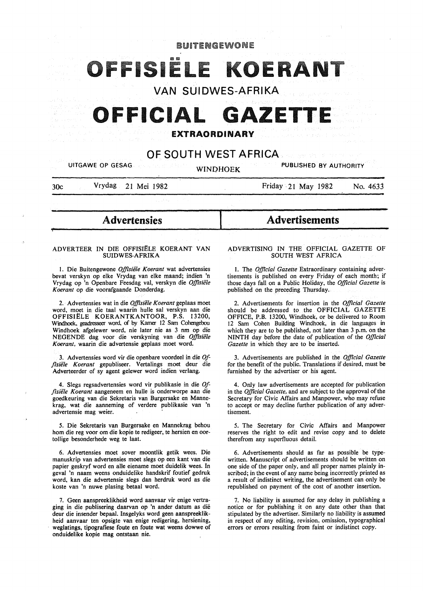

**I** 

30c Vrydag 21 Mei 1982

"!-

Friday- 21 May 1982 No. *4633* 

# **Advertensies**

#### ADVERTEER IN DIE OFFISIELE KOERANT VAN SUIDWES-AFRIKA

l. Die Buitengewone *Offisiiile Koerant* wat advertensies bevat verskyn op elke Vrydag van elke maand; indien 'n Vrydag op 'n Openbare Feesdag val, verskyn die *Offisiiile Koerant* op die voorafgaande Donderdag.

2. Advertensies wat in die *Offisiiile Koerant* geplaas moet word, moet in die taal waarin bulle sal verskyn aan die OFFISIELE KOERANTKANTOOR, P.S. 13200, Windhoek, geadresseer word. of by Kamer 12 Sam Cohengebou Windhoek afgelewer word, nie later nie as 3 nm op die NEGENDE dag voor die verskyning van die Offisiële *Koerant,* waarin die advertensie geplaas moet word.

3. Advertensies word vir die openbare voordeel in die *Offlsii!le Koerant* gepubliseer. Vertalings moet deur die Adverteerder of sy agent gelewer word indien verlang.

4. Slegs regsadvertensies word vir publikasie in die *Offlsie1e Koerant* aangeneem en bulle is onderworpe aan die goedkeuring van die Sekretaris van Burgersake en Mannekrag, wat die aanneming of verdere publikasie van 'n advertensie mag weier.

*5.* Die Sekretaris van Burgersake en Mannekrag behou hom die reg voor om die kopie te redigeer, te hersien en oortollige besonderhede weg te laat.

6. Advertensies moet sover moontlik getik wees. Die manuskrip van advertensies moet slegs op een kant van die papier geskryf word en aile eiename moet duidelik wees. In geval 'n naam weens onduidelike handskrif foutief gedruk word, kan die advertensie slegs dan herdruk word as die koste van 'n nuwe plasing betaal word.

7. Geen aanspreeklikheid word aanvaar vir enige vertraging in die publisering daarvan op 'n ander datum as die deur die insender bepaal. Insgelyks word geen aanspreeklikheid aanvaar ten opsigte van enige redigering, hersiening, weglatings, tipografiese foute en foute wat weens dowwe of onduidelike kopie mag ontstaan nie.

## ADVERTISING IN THE OFFICIAL GAZETTE OF SOUTH WEST AFRICA

Advertisements

1. The *Official Gazette* Extraordinary containing advertisements is published on every Friday of each month; if those days fall on a Public Holiday, the *Official Gazette* is published on the preceding Thursday.

2. Advertisements for insertion in the *Official Gazette*  should be addressed to the OFFICIAL GAZETTE OFFICE, P.B. 13200, Windhoek, or be delivered to Room 12 Sam Cohen Building Windhoek, in die languages in which they are to be published, not later than 3 p.m. on the NINTH day before the date of publication of the *Official Gazette* in which they are to be inserted.

3. Advertisements are published in the *Official Gazette*  for the benefit of the public. Translations if desired, must be furnished by the advertiser or his agent.

4. Only law advertisements are accepted for publication in the *Official Gazette,* and are subject to the approval of the Secretary for Civic Affairs and Manpower, who may refuse to accept or may decline further publication of any advertisement.

*5.* The Secretary for Civic Affairs and Manpower reserves the right to edit and revise copy and to delete therefrom any superfluous detail.

6. Advertisements should as far as possible be typewritten. Manuscript of advertisements should be written on one side of the paper only, and all proper names plainly inscribed; in the event of any name being incorrectly printed as a result of indistinct writing, the advertisement can only be republished on payment of the cost of another insertion.

7. No liability is assumed for any delay in publishing a notice or for publishing it on any date other than that stipulated by the advertiser. Similarly no liability is assumed in respect of any editing, revision, omission, typographical errors or errors resulting from faint or indistinct copy.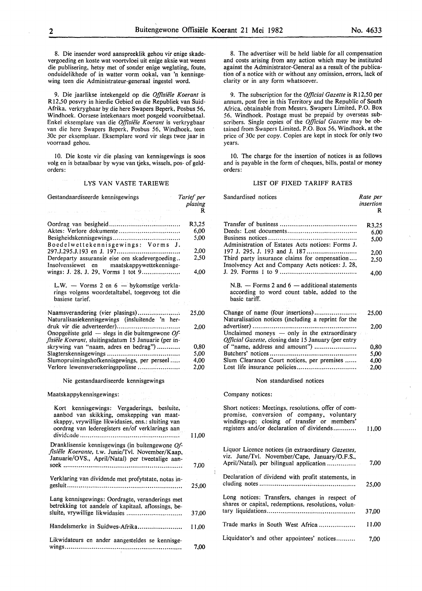$\mathbf{I}$ 

8. Die insender word aanspreeklik gehou vir enige skadevergoeding en koste wat voortvloei uit enige aksie wat weens die publisering, hetsy met of sonder enige weglating, foute, onduidelikhede of in watter vorm ookal, van 'n kennisgewing teen die Administrateur-generaal ingestel word.

9. Die jaarlikse intekengeld op die *Offisiele Koerant* is RI2,50 posvry in hierdie Gebied en die Republiek van Suid-Afrika, verkrygbaar by die here Swapers Beperk, Posbus 56, Windhoek. Oorsese intekenaars moet posgeld vooruitbetaal. Enkel eksemplare van die *Offisiele Koerant* is verkrygbaar van die here Swapers Beperk, Posbus 56, Windhoek, teen 30c per eksemplaar. Eksemplare word vir slegs twee jaar in voorraad gehou.

10. Die koste vir die plasing van kennisgewings is soos volg en is betaalbaar by wyse van tjeks, wissels, pos- of geldorders:

#### LYS VAN VASTE TARIEWE

| Gestandaardiseerde kennisgewings                                                                                                                                                                  | Tarief per   |
|---------------------------------------------------------------------------------------------------------------------------------------------------------------------------------------------------|--------------|
| and the sea                                                                                                                                                                                       | plasing<br>R |
|                                                                                                                                                                                                   | R3,25        |
| Aktes: Verlore dokumente                                                                                                                                                                          | 6.00         |
|                                                                                                                                                                                                   | 5,00         |
| Boedelwettekennisgewings: Vorms J.                                                                                                                                                                |              |
|                                                                                                                                                                                                   | 2,00         |
| Derdeparty assuransie eise om skadevergoeding<br>Insolvensiewet en maatskappywettekennisge-                                                                                                       | 2,50         |
| wings: J. 28, J. 29, Vorms 1 tot 9                                                                                                                                                                | 4,00         |
| L.W. - Vorms 2 en 6 - bykomstige verkla-<br>rings volgens woordetaltabel, toegevoeg tot die<br>basiese tarief.                                                                                    |              |
|                                                                                                                                                                                                   |              |
| Naamsverandering (vier plasings)<br>Naturalisasiekennisgewings (insluitende 'n her-                                                                                                               | 25,00        |
|                                                                                                                                                                                                   | 2,00         |
| Onopgeëiste geld $-$ slegs in die buitengewone Of-<br>fisiële Koerant, sluitingsdatum 15 Januarie (per in-                                                                                        |              |
| skrywing van "naam, adres en bedrag")                                                                                                                                                             | 0,80         |
|                                                                                                                                                                                                   | 5,00         |
| Slumopruimingshofkennisgewings, per perseel                                                                                                                                                       | 4,00         |
| Verlore lewensversekeringspolisse                                                                                                                                                                 | 2,00         |
| Nie gestandaardiseerde kennisgewings                                                                                                                                                              |              |
| Maatskappykennisgewings:                                                                                                                                                                          |              |
| Kort kennisgewings: Vergaderings, besluite,<br>aanbod van skikking, omskepping van maat-<br>skappy, vrywillige likwidasies, ens.: sluiting van<br>oordrag van lederegisters en/of verklarings aan | 11,00        |
| Dranklisensie kennisgewings (in buitengewone Of-<br>fisiële Koerante, t.w. Junie/Tvl. November/Kaap,                                                                                              |              |
| Januarie/OVS., April/Natal) per tweetalige aan-                                                                                                                                                   | 7,00         |
|                                                                                                                                                                                                   |              |
| Verklaring van dividende met profytstate, notas in-                                                                                                                                               | 25,00        |
|                                                                                                                                                                                                   |              |
| Lang kennisgewings: Oordragte, veranderings met<br>betrekking tot aandele of kapitaal, aflossings, be-<br>sluite, vrywillige likwidasies                                                          | 37,00        |
| Handelsmerke in Suidwes-Afrika                                                                                                                                                                    | 11,00        |
| Likwidateurs en ander aangesteldes se kennisge-                                                                                                                                                   | 7,00         |

8. The advertiser will be held liable for all compensation and costs arising from any action which may be instituted against the Administrator-General as a result of the publication of a notice with or without any omission, errors, lack of clarity or in any form whatsoever.

9. The subscription for the *Official Gazette* is RI2,50 per annum, post free in this Territory and the Republic of South Africa. obtainable from Messrs. Swapers Limited, P.O. Box 56, Windhoek. Postage must be prepaid by overseas subscribers. Single copies of the *Official Gazette* may be obtained from Swapers Limited, P.O. Box 56, Windhoek, at the price of 30c per copy. Copies are kept in stock for only two years.

10. The charge for the insertion of notices is as follows and is payable in the form of cheques, bills, postal or money orders:

#### LIST OF FIXED TARIFF RATES

| Sandardised notices                                                                                                                                                                           | Rate per  |
|-----------------------------------------------------------------------------------------------------------------------------------------------------------------------------------------------|-----------|
| <b>Contract State</b>                                                                                                                                                                         | insertion |
|                                                                                                                                                                                               | R         |
| ys eres<br>375                                                                                                                                                                                |           |
|                                                                                                                                                                                               | R3,25     |
|                                                                                                                                                                                               | 6.00      |
|                                                                                                                                                                                               | 5,00      |
| Administration of Estates Acts notices: Forms J.                                                                                                                                              |           |
|                                                                                                                                                                                               | 2.00      |
| Third party insurance claims for ompensation                                                                                                                                                  | 2.50      |
| Insolvency Act and Company Acts notices: J. 28,                                                                                                                                               |           |
|                                                                                                                                                                                               | 4,00      |
| $N.B.$ — Forms 2 and 6 — additional statements<br>according to word count table, added to the<br>basic tariff.<br>in P <u>a</u> ua                                                            |           |
| Change of name (four insertions)                                                                                                                                                              | 25,00     |
| Naturalisation notices (including a reprint for the                                                                                                                                           |           |
|                                                                                                                                                                                               | 2,00      |
| Unclaimed moneys - only in the extraordinary                                                                                                                                                  |           |
| Official Gazette, closing date 15 January (per entry                                                                                                                                          |           |
| of "name, address and amount")                                                                                                                                                                | 0,80      |
|                                                                                                                                                                                               | 5,00      |
| Slum Clearance Court notices, per premises                                                                                                                                                    | 4,00      |
| Lost life insurance policies                                                                                                                                                                  | $-2,00$   |
| Non standardised notices                                                                                                                                                                      |           |
|                                                                                                                                                                                               |           |
| <b>コンテート</b> (の)<br>Company notices:<br>$\sim 0.61$                                                                                                                                           |           |
| Short notices: Meetings, resolutions, offer of com-<br>promise, conversion of company, voluntary<br>windings-up; closing of transfer or members'<br>registers and/or declaration of dividends | 11,00     |
| Liquor Licence notices (in extraordinary Gazettes,<br>viz. June/Tvl. November/Cape, January/O.F.S.,<br>April/Natal), per bilingual application                                                | 7,00      |
| Declaration of dividend with profit statements, in                                                                                                                                            | 25,00     |
| Long notices: Transfers, changes in respect of<br>shares or capital, redemptions, resolutions, volun-                                                                                         | 37,00     |
| Trade marks in South West Africa                                                                                                                                                              | 11,00     |
| Liquidator's and other appointees' notices                                                                                                                                                    | 7,00      |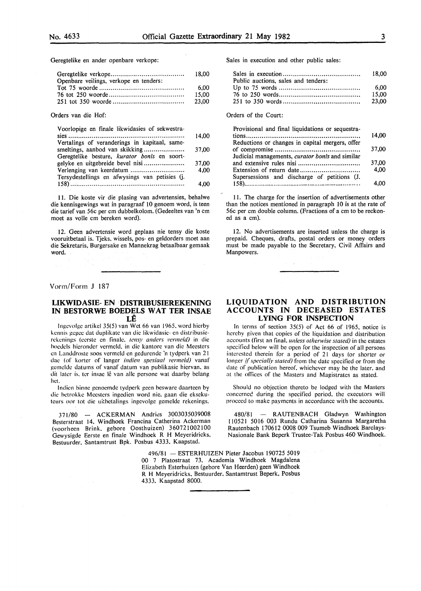Geregtelike en ander openbare verkope:

|                                        | 18.00 |
|----------------------------------------|-------|
| Openbare veilings, verkope en tenders: |       |
|                                        | 6.00  |
|                                        | 15.00 |
|                                        | 23.00 |

Orders van die Hof:

| Voorlopige en finale likwidasies of sekwestra- |       |
|------------------------------------------------|-------|
|                                                | 14.00 |
| Vertalings of veranderings in kapitaal, same-  |       |
| smeltings, aanbod van skikking                 | 37,00 |
| Geregtelike besture, kurator bonis en soort-   |       |
|                                                | 37,00 |
|                                                | 4.00  |
| Tersydestellings en afwysings van petisies (j. |       |
|                                                | 4.00  |

11. Die koste vir die plasing van advertensies, behalwe die kennisgewings wat in paragraaf 10 genoem word, is teen die tarief van 56c per em dubbelkolom. (Gedeeltes van 'n em moet as volle em bereken word).

12. Geen advertensie word geplaas nie tensy die koste vooruitbetaal is. Tjeks, wissels, pos- en geldorders moet aan die Sekretaris, Burgersake en Mannekrag betaalbaar gemaak word.

Vorm/Form **J** 187

#### **LIKWIDASIE- EN DISTRIBUSIEREKENING** IN BESTORWE BOEDELS WAT TER INSAE **LE**

lngcvolgc artikel 35(5) van Wet 66 van 1965. word hierby kennis gegee dat duplikate van die likwidasie- en distribusierekcnings (ccrsle en finale. */ensy anders l'ermeld)* in die hoedels hicrondcr vcrmcld. in die kantore van die Meesters en Landdroste soos verrncld en gedurendc 'n tydperk van 21 dae (of korter of langer *indien spesiaal vermeld)* vanaf gcmclde datums of vanaf datum van publikasie hiervan. as dit later is, ter insae lê van alle persone wat daarby belang het.

Indien binne genoemde tydperk geen besware daarteen by die bctrokkc Meestcrs ingcdicn word nie. gaan die cksckuteurs oor tot die uitbetalings ingevolge gemelde rekenings.

371/80 - ACKERMAN Andries 3003035039008 Besterstraat 14. Windhoek Francina Catherina Ackerman (voorheen Brink. gebore Oosthuizen) 360721002100 Gewysigde Eerste en finale Windhoek R H Meyeridricks, Bestuurder. Santamtrust Bpk. Posbus 4333, Kaapstad.

> 496/81 - ESTERHUIZEN Pieter Jacobus 190725 5019 00 7 Platostraat 73, Academia Windhoek Magdalena Elizabeth Esterhuizen (gebore Van Heerden) geen Windhoek R H Meyeridricks. Bestuurder, Santamtrust Beperk, Posbus 4333. Kaapstad 8000.

Sales in execution and other public sales:

|                                     | 18.00 |
|-------------------------------------|-------|
| Public auctions, sales and tenders: |       |
|                                     | 6.00  |
|                                     | 15.00 |
|                                     | 23.00 |

Orders of the Court:

| Provisional and final liquidations or sequestra- |       |
|--------------------------------------------------|-------|
|                                                  | 14.00 |
| Reductions or changes in capital mergers, offer  |       |
|                                                  | 37.00 |
| Judicial managements, curator bonis and similar  |       |
|                                                  | 37,00 |
|                                                  | 4.00  |
| Supersessions and discharge of petitions (J.     |       |
|                                                  |       |

11. The charge for the insertion of advertisements other than the notices mentioned in paragraph 10 is at the rate of 56c per em double column. (Fractions of a em to be reckoned as a em).

12. No advertisements are inserted unless the charge is prepaid. Cheques, drafts, postal orders or money orders must be made payable to the Secretary, Civil Affairs and Manpowers.

#### **LIQUIDATION AND DISTRIBUTION ACCOUNTS IN DECEASED ESTATES LYING FOR INSPECTION**

In terms of section 35(5) of Act 66 of 1965. notice is hereby given that copies of the liquidation and distribution accounts (first an final. *unless otherwise stated)* in the estates specified below will be open for the inspection of all persons interested therein for a period of 21 days (or shorter or longer if specially stated) from the date specified or from the date of publication hereof. whichever may be the later. and at the offices of the Masters and Magistrates as stated.

Should no objection thereto be lodged with the Masters concerncc during the specified period. the executors will proceed to make payments in accordance with the accounts.

480/81 - RAUTENBACH Gladwyn Washington 110521 5016 003 Rundu Catharina Susanna Margaretha Rautenbach 170612 0008 009 Tsumeb Windhoek Barclays-Nasionale Bank Beperk Trustee-Tak Posbus 460 Windhoek.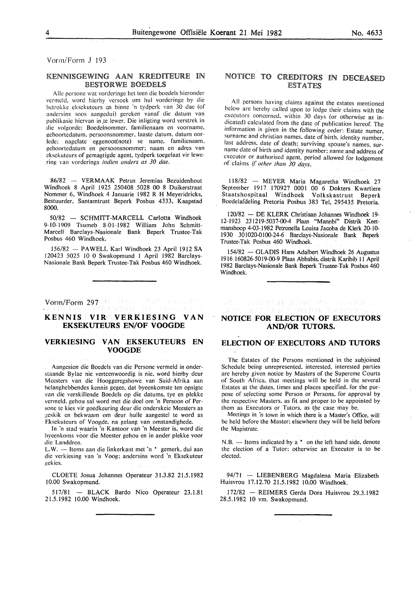Vorm/Form J 193

## KENNISGEWING AAN KREDITEURE IN BESTORWE BOEDELS

Aile persone wat vorderinge het teen die boedels hieronder vermeld. word hierby versoek om hul vorderinge by die hetrokke eksekuteurs en hinnc 'n tydpcrk van 30 dae (of andersins soos aangedui) gereken vanaf die datum van publikasie hiervan in te lewer. Die inligting word verstrek in die volgorde: Boedelnommer. familienaam en voorname. gehoortedatum. persoonsnommer. laaste datum, datum oorlede: nagelate eggenoot(note) se name, familienaam, gehoortedatum en persoonsnommcr: naam en adres van eksckuteurs of gemagtigde agent, tydperk toegelaat vir lewering van vordcrings *indien anders as 30 dae.* 

86/82 - VERMAAK Petrus Jeremias Bezuidenhout Windhoek 8 April 1925 250408 5028 00 8 Duikerstraat Nommer 6, Windhoek 4 Januarie 1982 R H Meyeridricks, Bestuurder, Santamtrust Beperk Posbus 4333, Kaapstad 8000.

50/82 - SCHMITT-MARCELL Carlotta Windhoek 9-10-1909 Tsumeb 8-01-1982 William John Schmitt-Marcell Barclays-Nasionale Bank Beperk Trustee-Tak Posbus 460 Windhoek.

156/82 - PAWELL Karl Windhoek 23 April 1912 SA 120423 5025 10 0 Swakopmund I April 1982 Barclays-Nasionale Bank Beperk Trustee-Tak Posbus 460 Windhoek.

Vonn/Form 297

#### **KENNIS VIR VERKIESING VAN EKSEKUTEURS EN/OF VOOGDE**

## **VERKIESING VAN EKSEKUTEURS EN VOOGDE**

Aangesien die Boedels van die Persone vermeld in onderstaande Bylae nie verteenwoordig is nie, word hierby deur Mcesters van die Hooggeregshowe van Suid-Afrika aan hclanghehbendes kennis gegee. dat byeenkomste ten opsigte van die verskillende Bocdels op die datums. tye en plckke vermeld, gehou sal word met die doel om 'n Persoon of Personc te kies vir goedkeuring deur die onderskeie Meesters as ;!cskik en bekwaam om deur hullc aangestcl te word as Eksckutcurs of Voogde, na gelang van omstandighede.

In 'n stad waarin 'n Kantoor van 'n Meester is, word die byccnkoms voor die Meester gchou en in ander plekke voor die Landdros.

L.W. - Items aan die linkerkant met 'n \* gemerk, dui aan die verkiesing van 'n Voog: andersins word 'n Eksekutcur gckies.

CLOETE Josua Johannes Operateur 31.3.82 21.5.1982 I 0.00 Swakopmund.

517/81 - BLACK Bardo Nico Operateur 23.1.81 2 1.5.1982 I 0.00 Windhoek.

## NOTICE TO CREDITORS IN DECEASED ESTATES

All persons having claims against the estates mentioned below arc hereby called upon to lodge their claims with the executors concerned, within 30 days (or otherwise as in dicated) calculated from the date of publication hereof. The information is given in the following order: Estate numer. surname and christian names, date of birth, identity number, last address, date of death: surviving spouse's names. surname date of birth and identity number: name and address of executor or authorised agent, period allowed for lodgement of claims *[{other than 30 days.* 

118/82 - MEYER Maria Magaretha Windhoek 27 September 1917 170927 0001 00 6 Dokters Kwartiere Staatshospitaal Windhoek Volkskastrust Beperk Boedelafdeling Pretoria Posbus 383 Tel, 295435 Pretoria.

120/82 -DE KLERK Christiaan Johannes Windhoek I9- 12-1923 23I2I9-5037-00-4 Plaas "Mannbi" Distrik Keetmanshoop 4-03-1982 Petronella Louisa Jacoba de Klerk 20-10-I930 301020-0100-24-6 Barclays-Nasionale Bank Beperk Trustee-Tak Posbus 460 Windhoek.

154/82 - GLADIS Hans Adalbert Windhoek 26 Augustus 19I6 160826-50I9-00-9 Plaas Abbabis, distrik Karibib II April 1982 Barclays-Nasionale Bank Beperk Trustee-Tak Posbus 460 Windhoek.

## **NOTICE FOR ELECTION OF EXECUTORS AND/OR TUTORS.**

每次以上,还是很好,越后就像就好。 地名加拿大特雷尼

## **ELECTION OF EXECUTORS AND TUTORS**

The Estates of the Persons mentioned in the subjoined Schedule being unrepresented. interested. interested parties are hereby given notice by Masters of the Supereme Courts of South Africa, that meetings will be held in the several Estates at the dates. times and places specified. for the purpose of selecting some Person or Persons. for approval by the respective Masters. as fit and proper to be appointed by them as Executors or Tutors, as the case may be.

Meetings in 'n town in which there is a Master's Office. will he held before the Master: elsewhere they will be held before the Magistrate.

 $N.B.$  - Items indicated by a  $*$  on the left hand side, denote the election of a Tutor: otherwise an Executor is to be elected.

94/71 - LIEBENBERG Magdalena Maria Elizabeth Huisvrou 17.12. 70 21.5.1982 10.00 Windhoek.

172/82 - REIMERS Gerda Dora Huisvrou 29.3.I982 28.5.1982 10 vm. Swakopmund.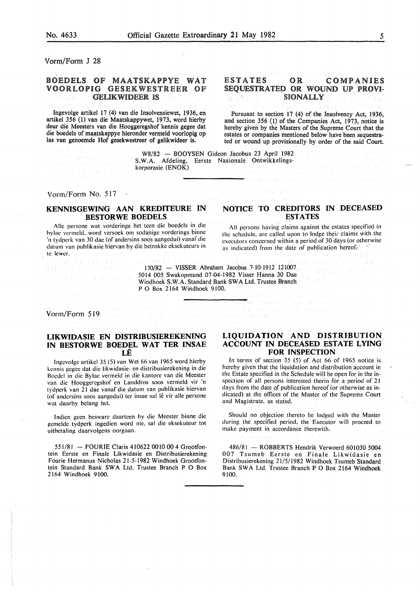Vorm/Form J 28

## BOEDELS OF MAATSKAPPYE WAT VOORLOPIG GESEKWESTREER OF GELIKWIDEER IS

Ingevolge artikel 17 (4) van die Insolvensiewet, 1936, en artikel *356* (1) van die Maatskappywet, 1973, word hierby deur die Meesters van die Hooggeregshof kennis gegee dat die boedels of maatskappye hieronder vermeld voorlopig op las van genoemde Hof gesekwestreer of gelikwideer is.

## ESTATES OR COMPANIES SEQUESTRATED OR WOUND UP PROVI-**SIONALLY**

Pursuant to section 17 (4) of the Insolvency Act, 1936, and section *356* (1) of the Companies Act, 1973, notice is hereby given by the Masters of the Supreme Court that the estates or companies mentioned below have been sequestrated or wound up provisionally by order of the said Court.

W8/82 - BOOYSEN Gideon Jacobus 23 April 1982<br>W.A. Afdeling. Eerste Nasionale Ontwikkelings-<br>proporasie (ENOK) S.W.A. Afdeling. Eerste Nasionale Ontwikkelingskorporasie (ENOK)

Vorm/Form No. 517

to problem our parts of an isomotiv

## **KENNISGEWING AAN KREDITEURE IN BESTORWE BOEDELS**

Aile pcrsone wat vorderinge het teen die boedels in die hylac vcrmeld. word versock om sodanige vorderings binne 'n tydpcrk van 30 dae (of andersins soos aangedui) vanaf die datum van publikasie hiervan by die betrokke eksekuteurs in te lewer.

## **NOTICE TO CREDITORS IN DECEASED ESTATES**

of egencies research contracted at

The group of the

All persons having claims against the estates specified in the schedule, are called upon to lodge their claims with the executors concerned within a period of 30 days (or otherwise as indicated) from the date of publication hereof:/  $\frac{1}{2}$ <br> $\frac{1}{2}$   $\frac{1}{2}$   $\frac{1}{2}$   $\frac{1}{2}$   $\frac{1}{2}$   $\frac{1}{2}$   $\frac{1}{2}$   $\frac{1}{2}$   $\frac{1}{2}$   $\frac{1}{2}$   $\frac{1}{2}$   $\frac{1}{2}$   $\frac{1}{2}$   $\frac{1}{2}$   $\frac{1}{2}$   $\frac{1}{2}$ 

CREATER KOTALL

170/82 - VISSER Abraham Jacobus 7-10-1912 121007 5014 005 Swakopmund 07-04-1982 Visser Hanna 30 Dae Windhoek S. W.A. Standard Bank SW A Ltd. Trustee Branch P 0 Box 2164 Windhoek 9100.

Vorm/Form 519

#### **LIKWIDASIE EN DISTRIBUSIEREKENING IN BESTORWE BOEDEL WAT TER INSAE LE**

lngcvolge artikcl 35 (5) van Wet 66 van 1965 word hierby kcnnis gcgcc dat die likwidasie- en distribusierekening in die Bocdcl in die Bylac vermeld in die kantore van die Meester van die Hooggeregshof en Landdros soos vermeld vir 'n tydperk van 21 dae vanaf die datum van publikasie hiervan (of andersins soos aangedui) ter insae sal lê vir alle persone wat daarby helang het.

lndien geen besware daarteen by die Meester binne die gemelde tydperk ingedien word nie. sal die eksekuteur tot uitbetaling daarvolgens oorgaan.

551/81 - FOUR IE Claris 410622 0010 00 4 Grootfontein Eerste en Finale Likwidasie en Distribusierekening Fourie Hermanus Nicholas 21-5-1982 Windhoek Grootfontein Standard Bank SWA Ltd. Trustee Branch P O Box 2164 Windhoek 9100.

## **LIQUIDATION AND DISTRIBUTION ACCOUNT IN DECEASED ESTATE I,. YING FOR INSPECTION**

.<br>Montana ang kalendar

as not differente por a seminar car de la

In terms of section 35 (5) of Act 66 of 1965 notice is hereby given that the liquidation and distribution account in the Estate specified in the Schedule will be open for in the inspection of all persons interested therin for a period of 21 days from the date of publication hereof (or otherwise as indicated) at the offices of the Master of the Supreme Court and Magistrate. as stated.

Should no objection thereto be lodged with the Master during the specified period. the Executor will proceed to make payment in accordance therewith.

486/81 - ROBBERTS Hendrik Verwoerd 601030 5004 007 Tsumeb Eerste en Finale Likwidasie en Distribusierekening 21/5/1982 Windhoek Tsumeb Standard Bank SWA Ltd. Trustee Branch P 0 Box 2164 Windhoek 9100.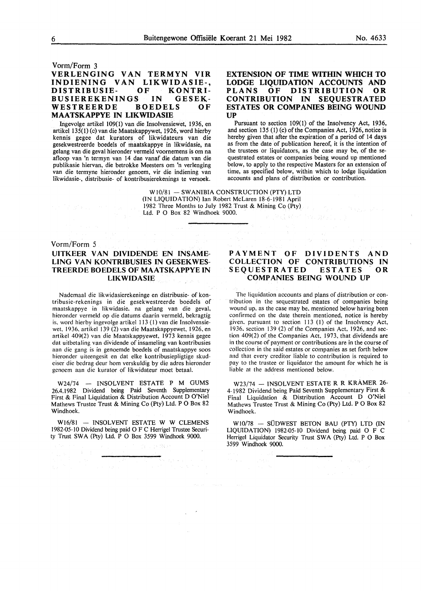#### Vorm/Form 3

## VERLENGING VAN TERMYN VIR INDIENING VAN LIKWIDASIE-,<br>DISTRIBUSIE- OF KONTRI-DISTRIBUSIE- OF KONTRI-BUSIEREKENINGS IN G<br>WESTREERDE BOEDELS WESTREERDE BOEDELS OF MAATSKAPPYE IN LIKWIDASIE

lngevolge artikel 109(1) van die Insolvensiewet, 1936, en artikel 135(1) (c) van die Maatskappywet, 1926, word hierby kennis gegee dat kurators of Iikwidateurs van die gesekwestreerde boedels of maatskappye in likwidasie, na gelang van die geval hieronder vermeld voornemens is om na afloop van 'n termyn van 14 dae vanaf die datum van die publikasie hiervan, die betrokke Meesters om 'n verlenging van die termyne hieronder genoem, vir die indiening van likwidasie-, distribusie- of kontribusierekenings te versoek.

## EXTENSION OF TIME WITHIN WHICH TO LODGE LIQUIDATION ACCOUNTS AND<br>PLANS OF DISTRIBUTION OR OF DISTRIBUTION CONTRIBUTION IN SEOUESTRATED ESTATES OR COMPANIES BEING WOUND **UP**

Pursuant to section 109(1) of the Insolvency Act, 1936, and section 135 (1) (c) of the Companies Act, 1926, notice is hereby given that after the expiration of a period of 14 days as from the date of publication hereof, it is the intention of the trustees or liquidators, as the case may be, of the sequestrated estates or companies being wound up mentioned below, to apply to the respective Masters for an extension of time, as specified below, within which to lodge liquidation accounts and plans of distribution or contribution.

W10/81 - SWANIBIA CONSTRUCTION (PTY) LTD (IN LIQUIDATION) Ian Robert McLaren 18-6-1981 April 1982 Three Months to July 1982 Trust & Mining Co (Pty) Ltd. P 0 Box 82 Windhoek 9000.

## Vorm/Form 5 UITKEER VAN DIVIDENDE EN INSAME-LING VAN KONTRIBUSIES IN GESEKWES-TREERDE BOEDELS OF MAATSKAPPYE IN LIKWIDASIE

 $\Delta \sim 100$ 

Nademaal die likwidasierekeninge en distribusie- of kontribusie-rekenings in die gesekwestreerde boedels of maatskappye in likwidasie. na gelang van die geval, hieronder vermeld op die datums daarin vermeld, bekragtig is. word hierby ingevolge artikel 113 (1) van die Insolvensiewet. 1936. artikel 139 (2) van die Maatskappyewet, 1926, en artikel 409(2) van die Maatskappyewet, 1973 kennis gegee dat uitbetaling van dividende of insameling van kontribusies aan die gang is in genoemde boedels of maatskappye soos hieronder uiteengesit en dat elke kontribusiepligtige skudeiser die bedrag deur hom verskuldig by die adres hieronder gcnoem aan die kurator of likwidateur moet betaal.

W24/74 - INSOLVENT ESTATE P M GUMS 26.4.1982 Dividend being Paid Seventh Supplementary First & Final Liquidation & Distribution Account D O'Niel Mathews Trustee Trust & Mining Co (Pty) Ltd. P O Box 82 Windhoek.

W16/81 - INSOLVENT ESTATE W W CLEMENS I 982-05-10 Dividend being paid 0 F C Herrigel Trustee Security Trust SWA (Pty) Ltd. P O Box 3599 Windhoek 9000.

## PAYMENT OF DIVIDENTS AND COLLECTION OF CONTRIBUTIONS IN SEQUESTRATED ESTATES OR COMPANIES BEING WOUND UP

The liquidation accounts and plans of distribution or contribution in the sequestrated estates of companies being wound up. as the case may be. mentioned below having been confirmed on the date therein mentioned, notice is hereby given. pursuant to section 113 (I) of the Insolvency Act, 19 36. section 139 (2) of the Companies Act. 1926, and section 409(2) of the Companies Act. 1973, that dividends are in the course of payment or contributions are in the course of collection in the said estates or companies as set forth below and that every creditor liable to contribution is required to pay to the trustee or liquidator the amount for which he is liable at the address mentioned below.

W23/74 - INSOLVENT ESTATE R R KRÅMER 26-4-1982 Dividend being Paid Seventh Supplementary First & Final Liquidation & Distribution Account D O'Niel Mathews Trustee Trust & Mining Co (Pty) Ltd. P 0 Box 82 Windhoek.

 $W10/78 - SUDWEST$  BETON BAU (PTY) LTD (IN LIQUIDATION) 1982-05-10 Dividend being paid 0 F C Herrigel Liquidator Security Trust SWA (Pty) Ltd. P O Box 3599 Windhoek 9000.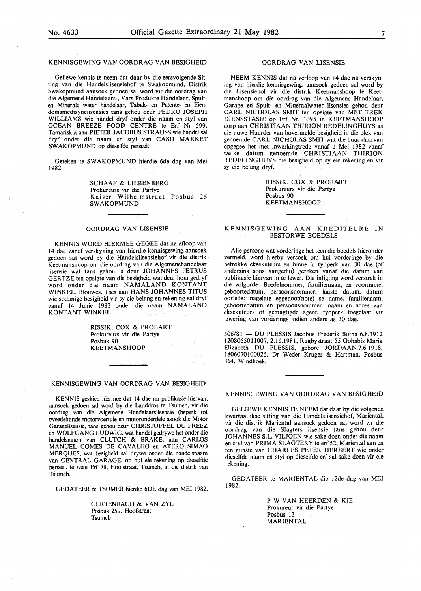#### KENNISGEWING VAN OORDRAG VAN BESIGHEID

Geliewe kennis te neem dat daar by die eersvolgende Sitting van die Handelslisensiehof te Swakopmund, Distrik Swakopmund aansoek gedoen sal word vir die oordrag van die Algemene' Handelaars-, Vars Produkte Handelaar, Spuiten Minerale water handelaar, Tabak- en Patente- en Eiendomsmedisynelisensies tans gehou deur PEDRO JOSEPH WILLIAMS wie handel dryf onder die naam en sty! van OCEAN BREEZE FOOD CENTRE te Erf Nr 599, Tamariskia aan PIETER JACOBUS STRAUSS wie handel sal dryf onder die naam en sty! van CASH MARKET SW AK OPMUND op dieselfde perseel.

Geteken te SW AKOPMUND hierdie 6de dag van Mei 1982.

> SCHAAF & LIESENBERG Prokureurs vir die Partye Kaiser Wilhelmstraat Posbus 25 SWAKOPMUND

#### OORDRAG VAN LISENSIE

KENNIS WORD HIERMEE GEGEE dat na afloop van 14 dae vanaf verskyning van hierdie kennisgewing aansoek gedoen sal word by die Handelslisensiehof vir die distrik Keetmanshoop om die oordrag van die Algemenehandelaar lisensie wat tans gehou is deur JOHANNES PETRUS GERTZE ten opsigte van die besigheid wat deur hom gedryf word onder die naam NAMALAND KONTANT WINKEL. Blouwes, Tses aan HANS JOHANNES TITUS wie sodanige besigheid vir sy eie belang en rekening sal dryf vanaf 14 Junie 1932 onder die naam NAMALAND KONTANT WINKEL.

> RISSIK. COX & PROBART Prokureurs vir die Partye Posbus 90 KEETMANSHOOP

#### KENNISGEWING VAN OORDRAG VAN BESIGHEID

KENNIS geskied hiermee dat 14 dae na publikasie hiervan. aansoek gedoen sal word by die Landdros te Tsumeb, vir die oordrag van die Algemene Handelaarslisensie (beperk tot tweedehande motorvoertuie en motoronderdele asook die Motor Garagelisensie, tans gehou deur CHRISTOFFEL DU PREEZ en WOLFGANG LUDWIG. wat handel gedrywe het onder die handelsnaam van CLUTCH & BRAKE. aan CARLOS MANUEL COMES DE CAVALHO en ATERO SIMAO MERQUES. wat besigheid sal drywe onder die handelsnaam van CENTRAL GARAGE, op hul eie rekening op dieselfde perseel. te wete Erf 78. Hoofstraat. Tsumeb, in die distrik van Tsumeb.

GEDATEER te TSUMEB hierdie 6DE dag van MEl 1982.

GERTENBACH & VAN ZYL Posbus 259. Hoofstraat Tsumeb

#### OORDRAG VAN LISENSIE

NEEM KENNIS dat na verloop van 14 dae na verskyning van hierdie kennisgewing, aansoek gedoen sal word by die Lisensiehof vir die distrik Keetmanshoop te Keetmanshoop om die oordrag van die Algemene Handelaar, Garage en Spuit- en Mineraalwater lisensies gehou deur CARL NICHOLAS SMIT ten opsigte van MET TREK DIENSST ASIE op Erf Nr. 1095 in KEETMANSHOOP dorp aan CHRISTIAAN THIRION REDELINGHUYS as die nuwe Huurder van bovermelde besigheid in die plek van genoemde CARL NICHOLAS SMIT wat die huur daarvan opgegee het met inwerkingtrede vanaf 1 Mei 1982 vanaf welke datum genoemde CHRISTIAAN THIRION REDELINGHUYS die besigheid op sy eie rekening en vir sy eie belang dryf.

> RISSIK, COX & PROBART Prokureurs vir die Partye Posbus 90 KEETMANSHOOP

#### KENNISGEWING AAN KREDITEURE IN BESTOR WE BOEDELS

Aile persone wat vorderinge het teen die boedels hieronder vermeld, word hierby versoek om hul vorderinge by die betrokke eksekuteurs en binne 'n tydperk van 30 dae (of andersins soos aangedui) gereken vanaf die datum van publikasie hiervan in te lewer. Die inligting word verstrek in die volgorde: Boedelnommer, familiemaan, en voorname, geboortedatum, persoonsnommer, laaste datum, datum oorlede: nagelate eggenoot(note) se name, familienaam, geboortedatum en persoonsnommer: naam en adres van eksekuteurs of gemagtigde agent, tydperk toegelaat vir lewering van vorderings indien anders as 30 dae.

506/81 - DU PLESSIS Jacobus Frederik Botha 6.8.1912 1208065011007, 2.11.1981, Rugbystraat *55* Gobabis Maria Elizabeth DU PLESSIS, gebore JORDAAN.7.6.1918, 1806070100026. Dr Weder Kruger & Hartman, Posbus 864, Windhoek.

#### KENNISGEWING VAN OORDRAG VAN BESIGHEID

GELIEWE KENNIS TE NEEM dat daar by die volgende kwartaallikse sitting van die Handelslisensiehof, Mariental, vir die distrik Mariental aansoek gedoen sal word vir die oordrag van die Slagters lisensie tans gehou deur JOHANNES S.L. VILJOEN wie sake doen onder die naam en styl van PRIMA SLAGTERY te erf 52, Mariental aan en ten gunste van CHARLES PETER HERBERT wie onder dieselfde naam en sty! op dieselfde erf sal sake doen vir eie rekening.

GEDATEER te MARIENTAL die J2de dag van MEl 1982.

> P W VAN HEERDEN & KIE Prokureur vir die Partye Posbus 13 MARIENTAL